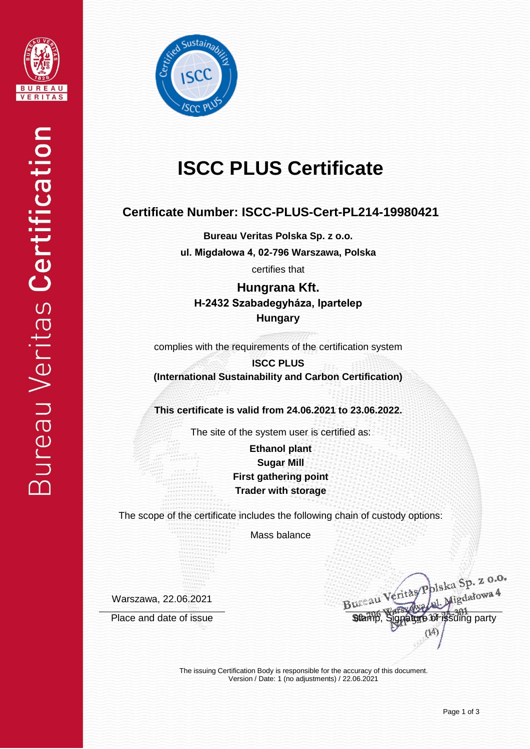



# **ISCC PLUS Certificate**

### **Certificate Number: ISCC-PLUS-Cert-PL214-19980421**

**Bureau Veritas Polska Sp. z o.o. ul. Migdałowa 4, 02-796 Warszawa, Polska** certifies that

**Hungrana Kft. H-2432 Szabadegyháza, Ipartelep Hungary**

complies with the requirements of the certification system

**ISCC PLUS (International Sustainability and Carbon Certification)**

**This certificate is valid from 24.06.2021 to 23.06.2022.**

The site of the system user is certified as:

**Ethanol plant Sugar Mill First gathering point Trader with storage**

The scope of the certificate includes the following chain of custody options:

Mass balance

Warszawa, 22.06.2021

Bureau Veritàs Polska Sp. z 0.0. Place and date of issue Stamp, Signature of issuing party

The issuing Certification Body is responsible for the accuracy of this document. Version / Date: 1 (no adjustments) / 22.06.2021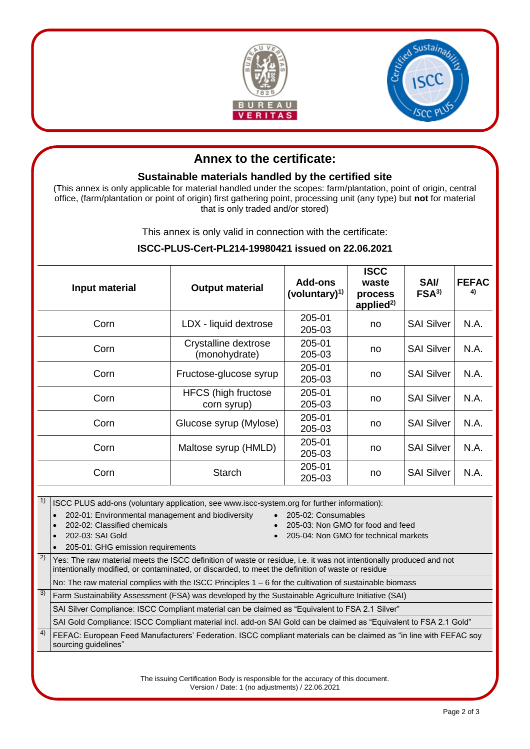



## **Annex to the certificate:**

#### **Sustainable materials handled by the certified site**

(This annex is only applicable for material handled under the scopes: farm/plantation, point of origin, central office, (farm/plantation or point of origin) first gathering point, processing unit (any type) but **not** for material that is only traded and/or stored)

This annex is only valid in connection with the certificate:

#### **ISCC-PLUS-Cert-PL214-19980421 issued on 22.06.2021**

| Input material | <b>Output material</b>                    | Add-ons<br>(voluntary) $1$ ) | <b>ISCC</b><br>waste<br>process<br>applied <sup>2)</sup> | <b>SAV</b><br>FSA <sup>3</sup> | <b>FEFAC</b><br>4) |
|----------------|-------------------------------------------|------------------------------|----------------------------------------------------------|--------------------------------|--------------------|
| Corn           | LDX - liquid dextrose                     | 205-01<br>205-03             | no                                                       | <b>SAI Silver</b>              | N.A.               |
| Corn           | Crystalline dextrose<br>(monohydrate)     | 205-01<br>205-03             | no                                                       | <b>SAI Silver</b>              | N.A.               |
| Corn           | Fructose-glucose syrup                    | 205-01<br>205-03             | no                                                       | <b>SAI Silver</b>              | N.A.               |
| Corn           | <b>HFCS</b> (high fructose<br>corn syrup) | 205-01<br>205-03             | no                                                       | <b>SAI Silver</b>              | N.A.               |
| Corn           | Glucose syrup (Mylose)                    | 205-01<br>205-03             | no                                                       | <b>SAI Silver</b>              | N.A.               |
| Corn           | Maltose syrup (HMLD)                      | 205-01<br>205-03             | no                                                       | <b>SAI Silver</b>              | N.A.               |
| Corn           | <b>Starch</b>                             | 205-01<br>205-03             | no                                                       | <b>SAI Silver</b>              | N.A.               |

1) ISCC PLUS add-ons (voluntary application, see www.iscc-system.org for further information):

202-01: Environmental management and biodiversity • 205-02: Consumables

- 
- 202-02: Classified chemicals 205-03: Non GMO for food and feed
- 202-03: SAI Gold 205-04: Non GMO for technical markets
	- 205-01: GHG emission requirements
- $2)$  Yes: The raw material meets the ISCC definition of waste or residue, i.e. it was not intentionally produced and not intentionally modified, or contaminated, or discarded, to meet the definition of waste or residue

No: The raw material complies with the ISCC Principles 1 – 6 for the cultivation of sustainable biomass

 $3)$  Farm Sustainability Assessment (FSA) was developed by the Sustainable Agriculture Initiative (SAI)

SAI Silver Compliance: ISCC Compliant material can be claimed as "Equivalent to FSA 2.1 Silver"

SAI Gold Compliance: ISCC Compliant material incl. add-on SAI Gold can be claimed as "Equivalent to FSA 2.1 Gold"

<sup>4)</sup> FEFAC: European Feed Manufacturers' Federation. ISCC compliant materials can be claimed as "in line with FEFAC soy sourcing guidelines"

> The issuing Certification Body is responsible for the accuracy of this document. Version / Date: 1 (no adjustments) / 22.06.2021